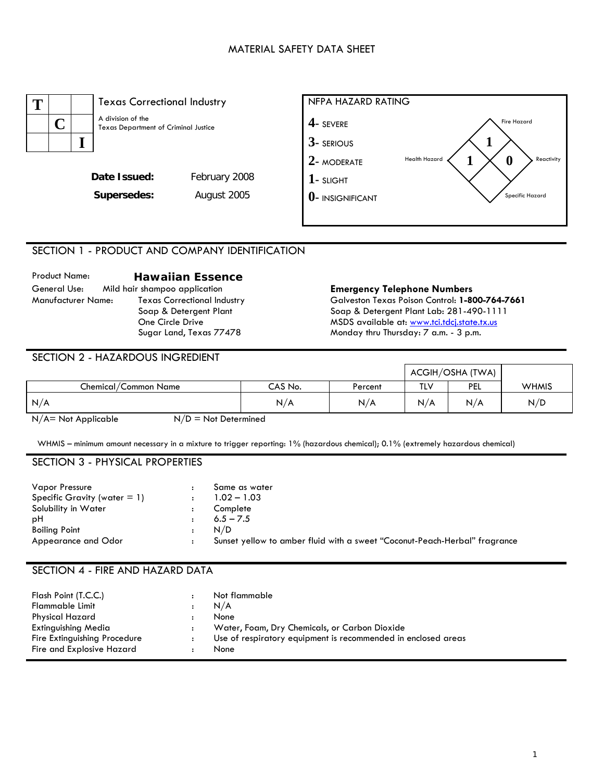## MATERIAL SAFETY DATA SHEET



## SECTION 1 - PRODUCT AND COMPANY IDENTIFICATION

| <b>Product Name:</b> | <b>Hawaiian Essence</b>            |
|----------------------|------------------------------------|
| General Use:         | Mild hair shampoo application      |
| Manufacturer Name:   | <b>Texas Correctional Industry</b> |
|                      | Soap & Detergent Plant             |
|                      | One Circle Drive                   |
|                      | Sugar Land, Texas 77478            |

#### **Emergency Telephone Numbers** Galveston Texas Poison Control: **1-800-764-7661**  Soap & Detergent Plant Lab: 281-490-1111 MSDS available at: [www.tci.tdcj.state.tx.us](http://www.tci.tdcj.state.tx.us/) Monday thru Thursday: 7 a.m. - 3 p.m.

### SECTION 2 - HAZARDOUS INGREDIENT

|                      |         |         |     | ACGIH/OSHA (TWA) |              |
|----------------------|---------|---------|-----|------------------|--------------|
| Chemical/Common Name | CAS No. | Percent | TLV | <b>PEL</b>       | <b>WHMIS</b> |
| N/A                  | N/A     | N/A     | N/A | N/A              | N/D          |

 $N/A$  = Not Applicable  $N/D$  = Not Determined

WHMIS – minimum amount necessary in a mixture to trigger reporting: 1% (hazardous chemical); 0.1% (extremely hazardous chemical)

## SECTION 3 - PHYSICAL PROPERTIES

| <b>Vapor Pressure</b>           | Same as water                                                              |
|---------------------------------|----------------------------------------------------------------------------|
| Specific Gravity (water $= 1$ ) | $1.02 - 1.03$                                                              |
| Solubility in Water             | Complete                                                                   |
| рH                              | $6.5 - 7.5$                                                                |
| Boiling Point                   | N/D                                                                        |
| Appearance and Odor             | Sunset yellow to amber fluid with a sweet "Coconut-Peach-Herbal" fragrance |

# SECTION 4 - FIRE AND HAZARD DATA

| Flash Point (T.C.C.)         | Not flammable                                                 |
|------------------------------|---------------------------------------------------------------|
| <b>Flammable Limit</b>       | N/A                                                           |
| Physical Hazard              | None                                                          |
| <b>Extinguishing Media</b>   | Water, Foam, Dry Chemicals, or Carbon Dioxide                 |
| Fire Extinguishing Procedure | Use of respiratory equipment is recommended in enclosed areas |
| Fire and Explosive Hazard    | None                                                          |